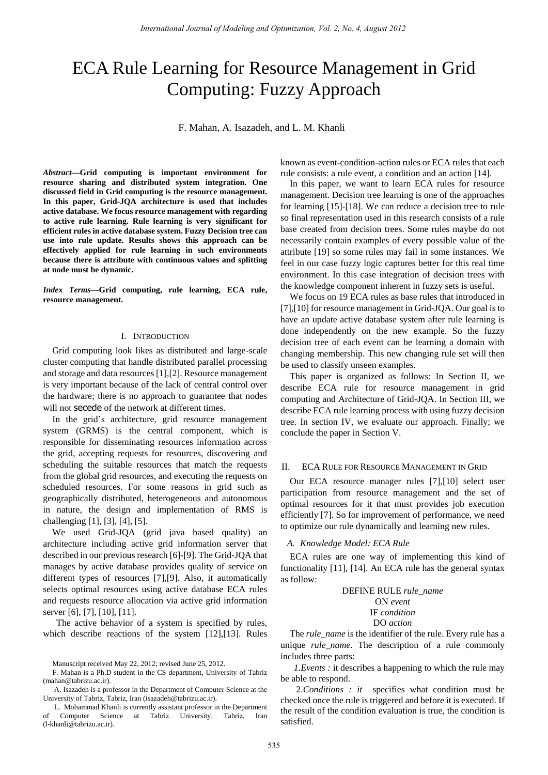# ECA Rule Learning for Resource Management in Grid Computing: Fuzzy Approach

F. Mahan, A. Isazadeh, and L. M. Khanli

*Abstract—***Grid computing is important environment for resource sharing and distributed system integration. One discussed field in Grid computing is the resource management. In this paper, Grid-JQA architecture is used that includes active database. We focus resource management with regarding to active rule learning. Rule learning is very significant for efficient rules in active database system. Fuzzy Decision tree can use into rule update. Results shows this approach can be effectively applied for rule learning in such environments because there is attribute with continuous values and splitting at node must be dynamic.** 

*Index Terms—***Grid computing, rule learning, ECA rule, resource management.** 

### I. INTRODUCTION

Grid computing look likes as distributed and large-scale cluster computing that handle distributed parallel processing and storage and data resources [1],[2]. Resource management is very important because of the lack of central control over the hardware; there is no approach to guarantee that nodes will not secede of the network at different times.

In the grid's architecture, grid resource management system (GRMS) is the central component, which is responsible for disseminating resources information across the grid, accepting requests for resources, discovering and scheduling the suitable resources that match the requests from the global grid resources, and executing the requests on scheduled resources. For some reasons in grid such as geographically distributed, heterogeneous and autonomous in nature, the design and implementation of RMS is challenging [1], [3], [4], [5].

We used Grid-JQA (grid java based quality) an architecture including active grid information server that described in our previous research [6]-[9]. The Grid-JQA that manages by active database provides quality of service on different types of resources [7],[9]. Also, it automatically selects optimal resources using active database ECA rules and requests resource allocation via active grid information server [6], [7], [10], [11].

The active behavior of a system is specified by rules, which describe reactions of the system [12],[13]. Rules known as event-condition-action rules or ECA rules that each rule consists: a rule event, a condition and an action [14].

In this paper, we want to learn ECA rules for resource management. Decision tree learning is one of the approaches for learning [15]-[18]. We can reduce a decision tree to rule so final representation used in this research consists of a rule base created from decision trees. Some rules maybe do not necessarily contain examples of every possible value of the attribute [19] so some rules may fail in some instances. We feel in our case fuzzy logic captures better for this real time environment. In this case integration of decision trees with the knowledge component inherent in fuzzy sets is useful.

We focus on 19 ECA rules as base rules that introduced in [7],[10] for resource management in Grid-JQA. Our goal is to have an update active database system after rule learning is done independently on the new example. So the fuzzy decision tree of each event can be learning a domain with changing membership. This new changing rule set will then be used to classify unseen examples.

This paper is organized as follows: In Section II, we describe ECA rule for resource management in grid computing and Architecture of Grid-JQA. In Section III, we describe ECA rule learning process with using fuzzy decision tree. In section IV, we evaluate our approach. Finally; we conclude the paper in Section V.

## II. ECA RULE FOR RESOURCE MANAGEMENT IN GRID

Our ECA resource manager rules [7],[10] select user participation from resource management and the set of optimal resources for it that must provides job execution efficiently [7]. So for improvement of performance, we need to optimize our rule dynamically and learning new rules.

#### *A. Knowledge Model: ECA Rule*

ECA rules are one way of implementing this kind of functionality [11], [14]. An ECA rule has the general syntax as follow:

# DEFINE RULE *rule\_name*  ON *event*  IF *condition*  DO *action*

The *rule\_name* is the identifier of the rule. Every rule has a unique *rule\_name*. The description of a rule commonly includes three parts:

*1.Events :* it describes a happening to which the rule may be able to respond.

Manuscript received May 22, 2012; revised June 25, 2012.

F. Mahan is a Ph.D student in the CS department, University of Tabriz (mahan@tabrizu.ac.ir).

A. Isazadeh is a professor in the Department of Computer Science at the University of Tabriz, Tabriz, Iran (isazadeh@tabrizu.ac.ir).

L. Mohammad Khanli is currently assistant professor in the Department of Computer Science at Tabriz University, Tabriz, Iran (l-khanli@tabrizu.ac.ir).

<sup>2.</sup>*Conditions : it* specifies what condition must be checked once the rule is triggered and before it is executed. If the result of the condition evaluation is true, the condition is satisfied.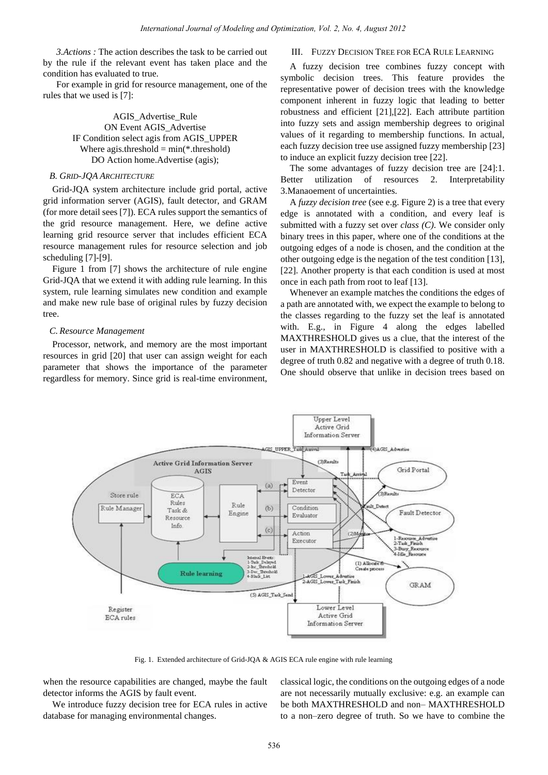*3.Actions :* The action describes the task to be carried out by the rule if the relevant event has taken place and the condition has evaluated to true.

For example in grid for resource management, one of the rules that we used is [7]:

> AGIS\_Advertise\_Rule ON Event AGIS\_Advertise IF Condition select agis from AGIS\_UPPER Where agis.threshold  $= min(*.threshold)$ DO Action home.Advertise (agis);

# *B. GRID-JQA ARCHITECTURE*

Grid-JQA system architecture include grid portal, active grid information server (AGIS), fault detector, and GRAM (for more detail sees [7]). ECA rules support the semantics of the grid resource management. Here, we define active learning grid resource server that includes efficient ECA resource management rules for resource selection and job scheduling [7]-[9].

Figure 1 from [7] shows the architecture of rule engine Grid-JQA that we extend it with adding rule learning. In this system, rule learning simulates new condition and example and make new rule base of original rules by fuzzy decision tree.

#### *C. Resource Management*

Processor, network, and memory are the most important resources in grid [20] that user can assign weight for each parameter that shows the importance of the parameter regardless for memory. Since grid is real-time environment,

## III. FUZZY DECISION TREE FOR ECA RULE LEARNING

A fuzzy decision tree combines fuzzy concept with symbolic decision trees. This feature provides the representative power of decision trees with the knowledge component inherent in fuzzy logic that leading to better robustness and efficient [21],[22]. Each attribute partition into fuzzy sets and assign membership degrees to original values of it regarding to membership functions. In actual, each fuzzy decision tree use assigned fuzzy membership [23] to induce an explicit fuzzy decision tree [22].

The some advantages of fuzzy decision tree are [24]:1. Better utilization of resources 2. Interpretability 3.Manaoement of uncertainties.

A *fuzzy decision tree* (see e.g. Figure 2) is a tree that every edge is annotated with a condition, and every leaf is submitted with a fuzzy set over *class (C)*. We consider only binary trees in this paper, where one of the conditions at the outgoing edges of a node is chosen, and the condition at the other outgoing edge is the negation of the test condition [13], [22]. Another property is that each condition is used at most once in each path from root to leaf [13].

Whenever an example matches the conditions the edges of a path are annotated with, we expect the example to belong to the classes regarding to the fuzzy set the leaf is annotated with. E.g., in Figure 4 along the edges labelled MAXTHRESHOLD gives us a clue, that the interest of the user in MAXTHRESHOLD is classified to positive with a degree of truth 0.82 and negative with a degree of truth 0.18. One should observe that unlike in decision trees based on



Fig. 1. Extended architecture of Grid-JQA & AGIS ECA rule engine with rule learning

when the resource capabilities are changed, maybe the fault detector informs the AGIS by fault event.

We introduce fuzzy decision tree for ECA rules in active database for managing environmental changes.

classical logic, the conditions on the outgoing edges of a node are not necessarily mutually exclusive: e.g. an example can be both MAXTHRESHOLD and non– MAXTHRESHOLD to a non–zero degree of truth. So we have to combine the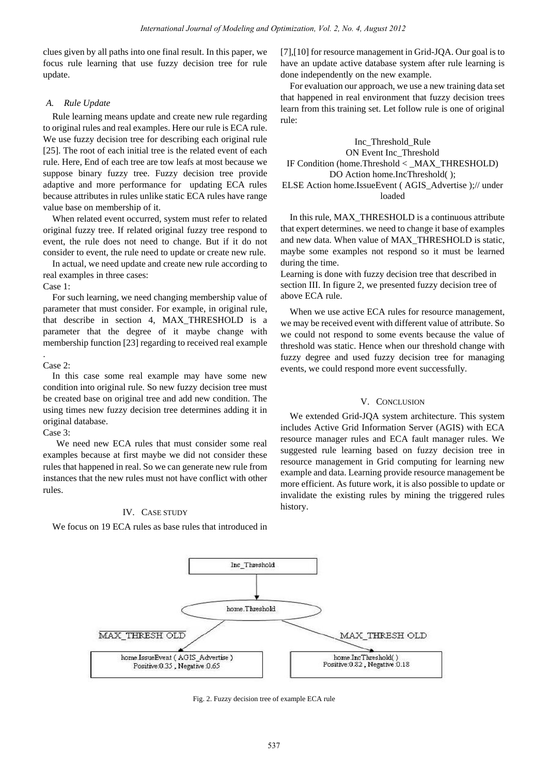clues given by all paths into one final result. In this paper, we focus rule learning that use fuzzy decision tree for rule update.

## *A. Rule Update*

Rule learning means update and create new rule regarding to original rules and real examples. Here our rule is ECA rule. We use fuzzy decision tree for describing each original rule [25]. The root of each initial tree is the related event of each rule. Here, End of each tree are tow leafs at most because we suppose binary fuzzy tree. Fuzzy decision tree provide adaptive and more performance for updating ECA rules because attributes in rules unlike static ECA rules have range value base on membership of it.

When related event occurred, system must refer to related original fuzzy tree. If related original fuzzy tree respond to event, the rule does not need to change. But if it do not consider to event, the rule need to update or create new rule.

In actual, we need update and create new rule according to real examples in three cases:

## Case 1:

For such learning, we need changing membership value of parameter that must consider. For example, in original rule, that describe in section 4, MAX\_THRESHOLD is a parameter that the degree of it maybe change with membership function [23] regarding to received real example

# Case 2:

.

In this case some real example may have some new condition into original rule. So new fuzzy decision tree must be created base on original tree and add new condition. The using times new fuzzy decision tree determines adding it in original database.

# Case 3:

We need new ECA rules that must consider some real examples because at first maybe we did not consider these rules that happened in real. So we can generate new rule from instances that the new rules must not have conflict with other rules.

# IV. CASE STUDY

We focus on 19 ECA rules as base rules that introduced in

[7],[10] for resource management in Grid-JQA. Our goal is to have an update active database system after rule learning is done independently on the new example.

For evaluation our approach, we use a new training data set that happened in real environment that fuzzy decision trees learn from this training set. Let follow rule is one of original rule:

Inc\_Threshold\_Rule ON Event Inc\_Threshold IF Condition (home.Threshold < \_MAX\_THRESHOLD) DO Action home.IncThreshold( ); ELSE Action home.IssueEvent ( AGIS\_Advertise );// under loaded

In this rule, MAX\_THRESHOLD is a continuous attribute that expert determines. we need to change it base of examples and new data. When value of MAX\_THRESHOLD is static, maybe some examples not respond so it must be learned during the time.

Learning is done with fuzzy decision tree that described in section III. In figure 2, we presented fuzzy decision tree of above ECA rule.

When we use active ECA rules for resource management, we may be received event with different value of attribute. So we could not respond to some events because the value of threshold was static. Hence when our threshold change with fuzzy degree and used fuzzy decision tree for managing events, we could respond more event successfully.

# V. CONCLUSION

We extended Grid-JQA system architecture. This system includes Active Grid Information Server (AGIS) with ECA resource manager rules and ECA fault manager rules. We suggested rule learning based on fuzzy decision tree in resource management in Grid computing for learning new example and data. Learning provide resource management be more efficient. As future work, it is also possible to update or invalidate the existing rules by mining the triggered rules history.



Fig. 2. Fuzzy decision tree of example ECA rule